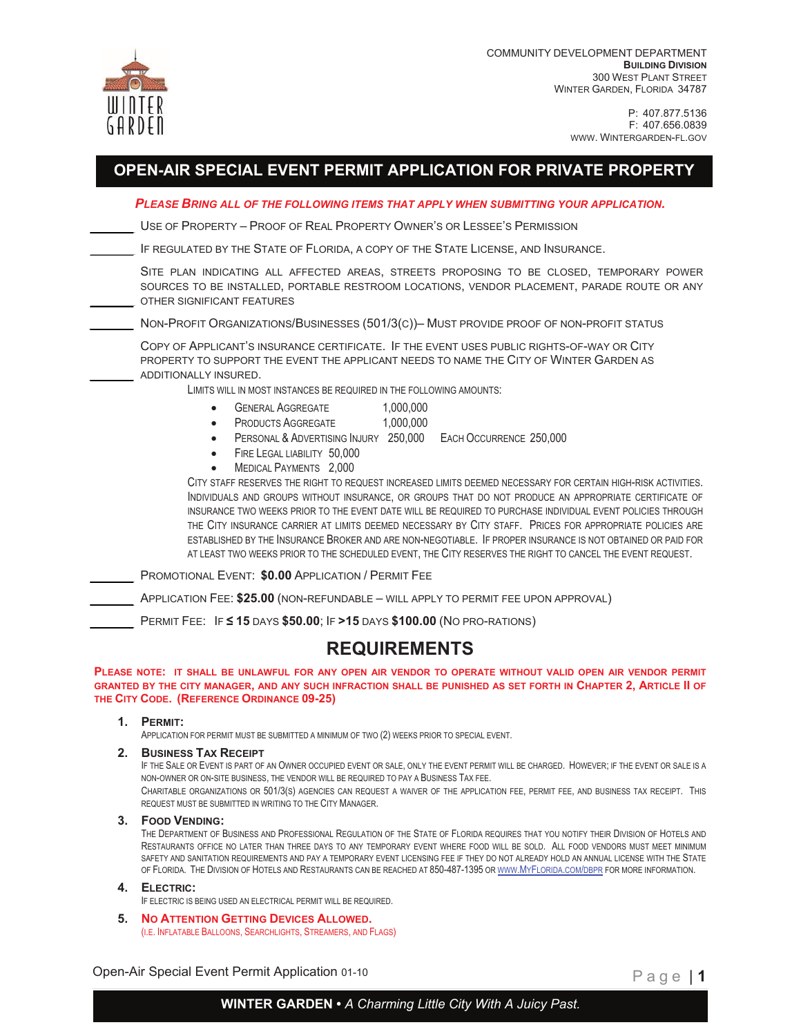

COMMUNITY DEVELOPMENT DEPARTMENT **BUILDING DIVISION**  300 WEST PLANT STREET WINTER GARDEN, FLORIDA 34787

> P: 407.877.5136 F: 407.656.0839 [WWW. WINTERGARDEN-FL.GOV](WWW.WINTERGARDEN-FL.GOV)

# **OPEN-AIR SPECIAL EVENT PERMIT APPLICATION FOR PRIVATE PROPERTY**

*PLEASE BRING ALL OF THE FOLLOWING ITEMS THAT APPLY WHEN SUBMITTING YOUR APPLICATION.* 

USE OF PROPERTY – PROOF OF REAL PROPERTY OWNER'S OR LESSEE'S PERMISSION

IF REGULATED BY THE STATE OF FLORIDA, A COPY OF THE STATE LICENSE, AND INSURANCE.

SITE PLAN INDICATING ALL AFFECTED AREAS, STREETS PROPOSING TO BE CLOSED, TEMPORARY POWER SOURCES TO BE INSTALLED, PORTABLE RESTROOM LOCATIONS, VENDOR PLACEMENT, PARADE ROUTE OR ANY OTHER SIGNIFICANT FEATURES

NON-PROFIT ORGANIZATIONS/BUSINESSES (501/3(C))– MUST PROVIDE PROOF OF NON-PROFIT STATUS

COPY OF APPLICANT'S INSURANCE [CERTIFICATE. IF](https://CERTIFICATE.IF) THE EVENT USES PUBLIC RIGHTS-OF-WAY OR CITY PROPERTY TO SUPPORT THE EVENT THE APPLICANT NEEDS TO NAME THE CITY OF WINTER GARDEN AS ADDITIONALLY INSURED.

LIMITS WILL IN MOST INSTANCES BE REQUIRED IN THE FOLLOWING AMOUNTS:

- GENERAL AGGREGATE 1.000.000
	- PRODUCTS AGGREGATE 1,000,000
- PERSONAL & ADVERTISING INJURY 250,000 EACH OCCURRENCE 250,000
- FIRE LEGAL LIABILITY 50,000
- MEDICAL PAYMENTS 2,000

CITY STAFF RESERVES THE RIGHT TO REQUEST INCREASED LIMITS DEEMED NECESSARY FOR CERTAIN HIGH-RISK ACTIVITIES. INDIVIDUALS AND GROUPS WITHOUT INSURANCE, OR GROUPS THAT DO NOT PRODUCE AN APPROPRIATE CERTIFICATE OF INSURANCE TWO WEEKS PRIOR TO THE EVENT DATE WILL BE REQUIRED TO PURCHASE INDIVIDUAL EVENT POLICIES THROUGH THE CITY INSURANCE CARRIER AT LIMITS DEEMED NECESSARY BY CITY STAFF. PRICES FOR APPROPRIATE POLICIES ARE ESTABLISHED BY THE INSURANCE BROKER AND ARE [NON-NEGOTIABLE. IF](https://NON-NEGOTIABLE.IF) PROPER INSURANCE IS NOT OBTAINED OR PAID FOR AT LEAST TWO WEEKS PRIOR TO THE SCHEDULED EVENT, THE CITY RESERVES THE RIGHT TO CANCEL THE EVENT REQUEST.

PROMOTIONAL EVENT: **\$0.00** APPLICATION / PERMIT FEE

APPLICATION FEE: **\$25.00** (NON-REFUNDABLE – WILL APPLY TO PERMIT FEE UPON APPROVAL)

PERMIT FEE: IF **≤ 15** DAYS **\$50.00**; IF **>15** DAYS **\$100.00** (NO PRO-RATIONS)

### **REQUIREMENTS**

**PLEASE NOTE: IT SHALL BE UNLAWFUL FOR ANY OPEN AIR VENDOR TO OPERATE WITHOUT VALID OPEN AIR VENDOR PERMIT GRANTED BY THE CITY MANAGER, AND ANY SUCH INFRACTION SHALL BE PUNISHED AS SET FORTH IN CHAPTER 2, ARTICLE II OF THE CITY CODE. (REFERENCE ORDINANCE 09-25)** 

#### **1. PERMIT:**

APPLICATION FOR PERMIT MUST BE SUBMITTED A MINIMUM OF TWO (2) WEEKS PRIOR TO SPECIAL EVENT.

**2. BUSINESS TAX RECEIPT**

IF THE SALE OR EVENT IS PART OF AN OWNER OCCUPIED EVENT OR SALE, ONLY THE EVENT PERMIT WILL BE CHARGED. HOWEVER; IF THE EVENT OR SALE IS A NON-OWNER OR ON-SITE BUSINESS, THE VENDOR WILL BE REQUIRED TO PAY A BUSINESS TAX FEE.

CHARITABLE ORGANIZATIONS OR 501/3(S) AGENCIES CAN REQUEST A WAIVER OF THE APPLICATION FEE, PERMIT FEE, AND BUSINESS TAX RECEIPT. THIS REQUEST MUST BE SUBMITTED IN WRITING TO THE CITY MANAGER.

**3. FOOD VENDING:**

THE DEPARTMENT OF BUSINESS AND PROFESSIONAL REGULATION OF THE STATE OF FLORIDA REQUIRES THAT YOU NOTIFY THEIR DIVISION OF HOTELS AND RESTAURANTS OFFICE NO LATER THAN THREE DAYS TO ANY TEMPORARY EVENT WHERE FOOD WILL BE SOLD. ALL FOOD VENDORS MUST MEET MINIMUM SAFETY AND SANITATION REQUIREMENTS AND PAY A TEMPORARY EVENT LICENSING FEE IF THEY DO NOT ALREADY HOLD AN ANNUAL LICENSE WITH THE STATE OF FLORIDA. THE DIVISION OF HOTELS AND RESTAURANTS CAN BE REACHED AT 850-487-1395 OR<WWW.MYFLORIDA.COM/DBPR> FOR MORE INFORMATION.

### **4. ELECTRIC:**

- IF ELECTRIC IS BEING USED AN ELECTRICAL PERMIT WILL BE REQUIRED.
- **5. NO ATTENTION GETTING DEVICES ALLOWED.** (I.E. INFLATABLE BALLOONS, SEARCHLIGHTS, STREAMERS, AND FLAGS)

Open-Air Special Event Permit Application 01-10 **Page 11 Page 11** 

**WINTER GARDEN •** *A Charming Little City With A Juicy Past.*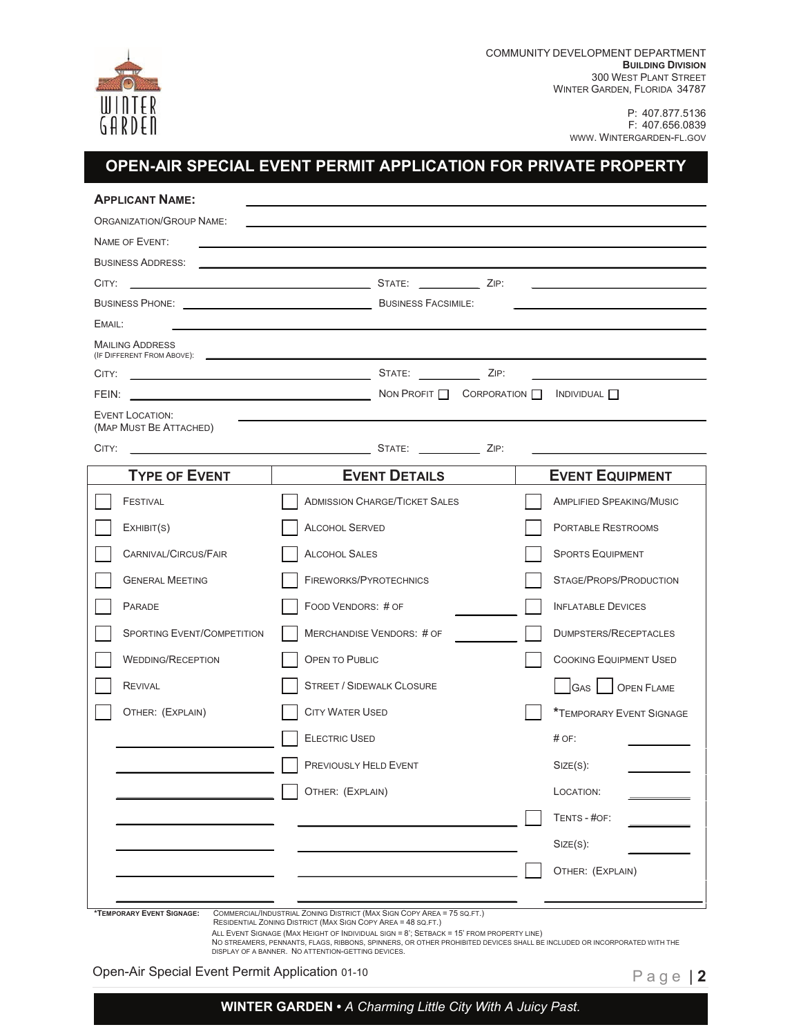

P: 407.877.5136 F: 407.656.0839 [WWW. WINTERGARDEN-FL.GOV](WWW.WINTERGARDEN-FL.GOV) 

# **OPEN-AIR SPECIAL EVENT PERMIT APPLICATION FOR PRIVATE PROPERTY**

| <b>ORGANIZATION/GROUP NAME:</b>   |                                                                                                                                                                                                                               |                                 |
|-----------------------------------|-------------------------------------------------------------------------------------------------------------------------------------------------------------------------------------------------------------------------------|---------------------------------|
| NAME OF EVENT:                    | the control of the control of the control of the control of the control of the control of the control of the control of the control of the control of the control of the control of the control of the control of the control |                                 |
| <b>BUSINESS ADDRESS:</b>          |                                                                                                                                                                                                                               |                                 |
|                                   | BUSINESS PHONE: BUSINESS FACSIMILE:                                                                                                                                                                                           |                                 |
| EMAIL:                            |                                                                                                                                                                                                                               |                                 |
| <b>MAILING ADDRESS</b>            |                                                                                                                                                                                                                               |                                 |
|                                   |                                                                                                                                                                                                                               |                                 |
|                                   |                                                                                                                                                                                                                               |                                 |
| EVENT LOCATION:                   |                                                                                                                                                                                                                               |                                 |
| (MAP MUST BE ATTACHED)            |                                                                                                                                                                                                                               |                                 |
| CITY:                             |                                                                                                                                                                                                                               |                                 |
| <b>TYPE OF EVENT</b>              | <b>EVENT DETAILS</b>                                                                                                                                                                                                          | <b>EVENT EQUIPMENT</b>          |
| FESTIVAL                          | <b>ADMISSION CHARGE/TICKET SALES</b>                                                                                                                                                                                          | <b>AMPLIFIED SPEAKING/MUSIC</b> |
| EXHIBIT(S)                        | <b>ALCOHOL SERVED</b>                                                                                                                                                                                                         | PORTABLE RESTROOMS              |
| CARNIVAL/CIRCUS/FAIR              | <b>ALCOHOL SALES</b>                                                                                                                                                                                                          | <b>SPORTS EQUIPMENT</b>         |
| <b>GENERAL MEETING</b>            | FIREWORKS/PYROTECHNICS                                                                                                                                                                                                        | STAGE/PROPS/PRODUCTION          |
| PARADE                            | FOOD VENDORS: # OF                                                                                                                                                                                                            | <b>INFLATABLE DEVICES</b>       |
| <b>SPORTING EVENT/COMPETITION</b> | MERCHANDISE VENDORS: # OF                                                                                                                                                                                                     | <b>DUMPSTERS/RECEPTACLES</b>    |
| <b>WEDDING/RECEPTION</b>          | <b>OPEN TO PUBLIC</b>                                                                                                                                                                                                         | <b>COOKING EQUIPMENT USED</b>   |
| <b>REVIVAL</b>                    | <b>STREET / SIDEWALK CLOSURE</b>                                                                                                                                                                                              | GAS   OPEN FLAME                |
| OTHER: (EXPLAIN)                  | <b>CITY WATER USED</b>                                                                                                                                                                                                        | <b>*TEMPORARY EVENT SIGNAGE</b> |
|                                   | <b>ELECTRIC USED</b>                                                                                                                                                                                                          | $#$ OF:                         |
|                                   | PREVIOUSLY HELD EVENT                                                                                                                                                                                                         | $Size(S)$ :                     |
|                                   | OTHER: (EXPLAIN)                                                                                                                                                                                                              | LOCATION:                       |
|                                   |                                                                                                                                                                                                                               | TENTS - #OF:                    |
|                                   |                                                                                                                                                                                                                               | $Size(S)$ :                     |
|                                   |                                                                                                                                                                                                                               | OTHER: (EXPLAIN)                |

ALL EVENT SIGNAGE (MAX HEIGHT OF INDIVIDUAL SIGN = 8'; SETBACK = 15' FROM PROPERTY LINE)<br>NO STREAMERS, PENNANTS, FLAGS, RIBBONS, SPINNERS, OR OTHER PROHIBITED DEVICES SHALL BE INCLUDED OR INCORPORATED WITH THE<br>DISPLAY OF A

Open-Air Special Event Permit Application 01-10 **Page | 2 Page | 2** 

**WINTER GARDEN •** *A Charming Little City With A Juicy Past.*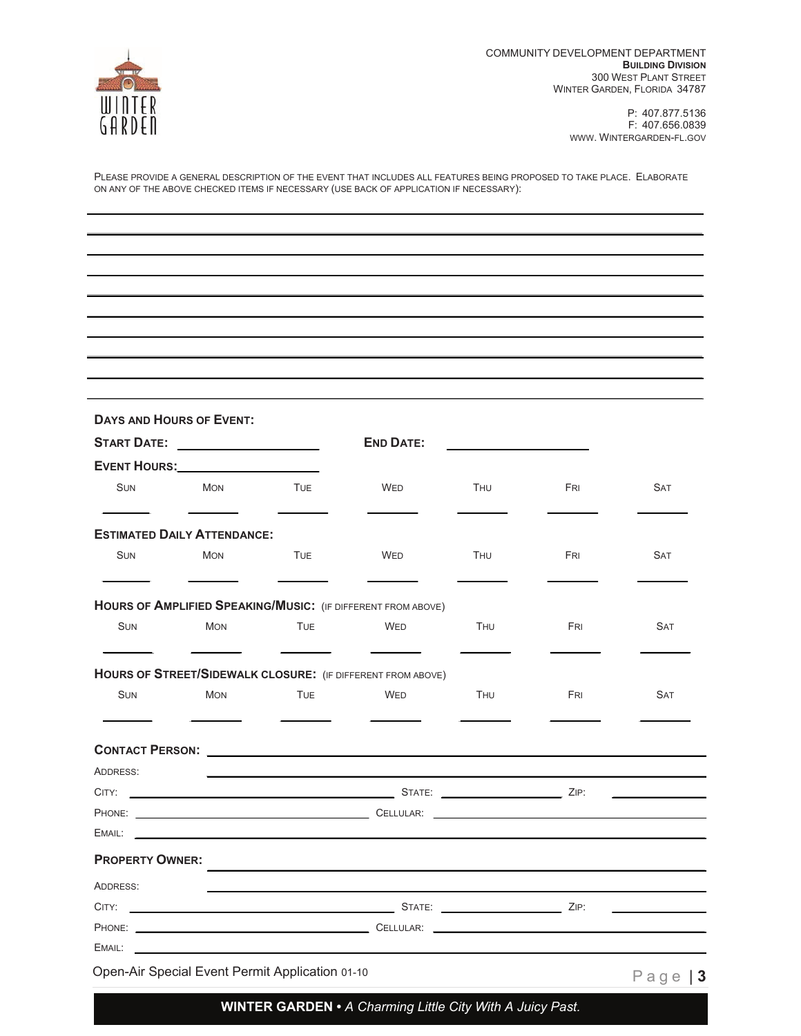

 l  $\overline{a}$  $\overline{a}$ l

P: 407.877.5136 F: 407.656.0839 [WWW. WINTERGARDEN-FL.GOV](WWW.WINTERGARDEN-FL.GOV) 

PLEASE PROVIDE A GENERAL DESCRIPTION OF THE EVENT THAT INCLUDES ALL FEATURES BEING PROPOSED TO TAKE PLACE. ELABORATE ON ANY OF THE ABOVE CHECKED ITEMS IF NECESSARY (USE BACK OF APPLICATION IF NECESSARY):

|                        | <b>DAYS AND HOURS OF EVENT:</b>                                                                                                                                                                                                |            |                                                              |            |            |            |
|------------------------|--------------------------------------------------------------------------------------------------------------------------------------------------------------------------------------------------------------------------------|------------|--------------------------------------------------------------|------------|------------|------------|
|                        | <b>START DATE:</b>                                                                                                                                                                                                             |            | <b>END DATE:</b>                                             |            |            |            |
|                        | EVENT HOURS: Network and the series of the series of the series of the series of the series of the series of the series of the series of the series of the series of the series of the series of the series of the series of t |            |                                                              |            |            |            |
| <b>SUN</b>             | <b>MON</b>                                                                                                                                                                                                                     | <b>TUE</b> | <b>WED</b>                                                   | THU        | <b>FRI</b> | <b>SAT</b> |
|                        | <b>ESTIMATED DAILY ATTENDANCE:</b>                                                                                                                                                                                             |            |                                                              |            |            |            |
| <b>SUN</b>             | <b>MON</b>                                                                                                                                                                                                                     | <b>TUE</b> | <b>WED</b>                                                   | THU        | FRI        | <b>SAT</b> |
|                        |                                                                                                                                                                                                                                |            | HOURS OF AMPLIFIED SPEAKING/MUSIC: (IF DIFFERENT FROM ABOVE) |            |            |            |
| <b>SUN</b>             | <b>MON</b>                                                                                                                                                                                                                     | <b>TUE</b> | <b>WED</b>                                                   | <b>THU</b> | FRI        | <b>SAT</b> |
|                        |                                                                                                                                                                                                                                |            |                                                              |            |            |            |
|                        |                                                                                                                                                                                                                                |            | HOURS OF STREET/SIDEWALK CLOSURE: (IF DIFFERENT FROM ABOVE)  |            |            |            |
| <b>SUN</b>             | <b>MON</b>                                                                                                                                                                                                                     | <b>TUE</b> | WED                                                          | THU        | FRI        | <b>SAT</b> |
|                        |                                                                                                                                                                                                                                |            |                                                              |            |            |            |
| ADDRESS:               |                                                                                                                                                                                                                                |            |                                                              |            |            |            |
|                        |                                                                                                                                                                                                                                |            |                                                              |            |            |            |
|                        |                                                                                                                                                                                                                                |            |                                                              |            |            |            |
| EMAIL:                 |                                                                                                                                                                                                                                |            |                                                              |            |            |            |
| <b>PROPERTY OWNER:</b> |                                                                                                                                                                                                                                |            |                                                              |            |            |            |
|                        |                                                                                                                                                                                                                                |            |                                                              |            |            |            |
|                        |                                                                                                                                                                                                                                |            |                                                              |            |            |            |
| ADDRESS:               |                                                                                                                                                                                                                                |            |                                                              |            |            |            |

**WINTER GARDEN •** *A Charming Little City With A Juicy Past.*